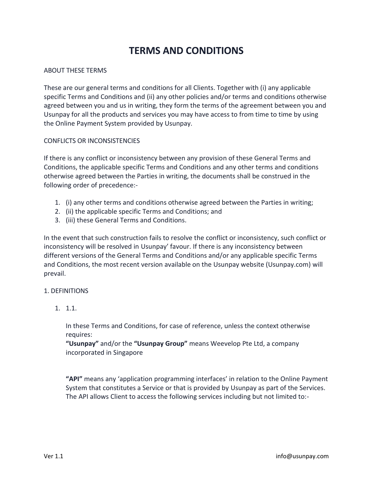# **TERMS AND CONDITIONS**

### ABOUT THESE TERMS

These are our general terms and conditions for all Clients. Together with (i) any applicable specific Terms and Conditions and (ii) any other policies and/or terms and conditions otherwise agreed between you and us in writing, they form the terms of the agreement between you and Usunpay for all the products and services you may have access to from time to time by using the Online Payment System provided by Usunpay.

#### CONFLICTS OR INCONSISTENCIES

If there is any conflict or inconsistency between any provision of these General Terms and Conditions, the applicable specific Terms and Conditions and any other terms and conditions otherwise agreed between the Parties in writing, the documents shall be construed in the following order of precedence:-

- 1. (i) any other terms and conditions otherwise agreed between the Parties in writing;
- 2. (ii) the applicable specific Terms and Conditions; and
- 3. (iii) these General Terms and Conditions.

In the event that such construction fails to resolve the conflict or inconsistency, such conflict or inconsistency will be resolved in Usunpay' favour. If there is any inconsistency between different versions of the General Terms and Conditions and/or any applicable specific Terms and Conditions, the most recent version available on the Usunpay website (Usunpay.com) will prevail.

#### 1. DEFINITIONS

1. 1.1.

In these Terms and Conditions, for case of reference, unless the context otherwise requires:

**"Usunpay"** and/or the **"Usunpay Group"** means Weevelop Pte Ltd, a company incorporated in Singapore

**"API"** means any 'application programming interfaces' in relation to the Online Payment System that constitutes a Service or that is provided by Usunpay as part of the Services. The API allows Client to access the following services including but not limited to:-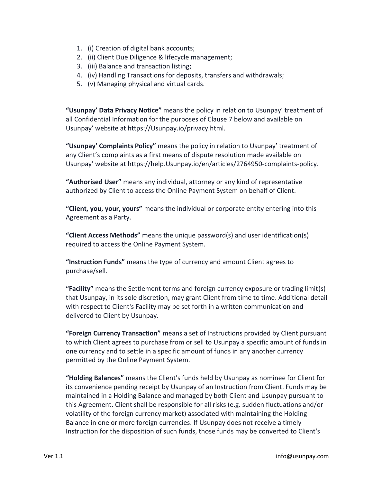- 1. (i) Creation of digital bank accounts;
- 2. (ii) Client Due Diligence & lifecycle management;
- 3. (iii) Balance and transaction listing;
- 4. (iv) Handling Transactions for deposits, transfers and withdrawals;
- 5. (v) Managing physical and virtual cards.

**"Usunpay' Data Privacy Notice"** means the policy in relation to Usunpay' treatment of all Confidential Information for the purposes of Clause 7 below and available on Usunpay' website at https://Usunpay.io/privacy.html.

**"Usunpay' Complaints Policy"** means the policy in relation to Usunpay' treatment of any Client's complaints as a first means of dispute resolution made available on Usunpay' website at https://help.Usunpay.io/en/articles/2764950-complaints-policy.

**"Authorised User"** means any individual, attorney or any kind of representative authorized by Client to access the Online Payment System on behalf of Client.

**"Client, you, your, yours"** means the individual or corporate entity entering into this Agreement as a Party.

**"Client Access Methods"** means the unique password(s) and user identification(s) required to access the Online Payment System.

**"Instruction Funds"** means the type of currency and amount Client agrees to purchase/sell.

**"Facility"** means the Settlement terms and foreign currency exposure or trading limit(s) that Usunpay, in its sole discretion, may grant Client from time to time. Additional detail with respect to Client's Facility may be set forth in a written communication and delivered to Client by Usunpay.

**"Foreign Currency Transaction"** means a set of Instructions provided by Client pursuant to which Client agrees to purchase from or sell to Usunpay a specific amount of funds in one currency and to settle in a specific amount of funds in any another currency permitted by the Online Payment System.

**"Holding Balances"** means the Client's funds held by Usunpay as nominee for Client for its convenience pending receipt by Usunpay of an Instruction from Client. Funds may be maintained in a Holding Balance and managed by both Client and Usunpay pursuant to this Agreement. Client shall be responsible for all risks (e.g. sudden fluctuations and/or volatility of the foreign currency market) associated with maintaining the Holding Balance in one or more foreign currencies. If Usunpay does not receive a timely Instruction for the disposition of such funds, those funds may be converted to Client's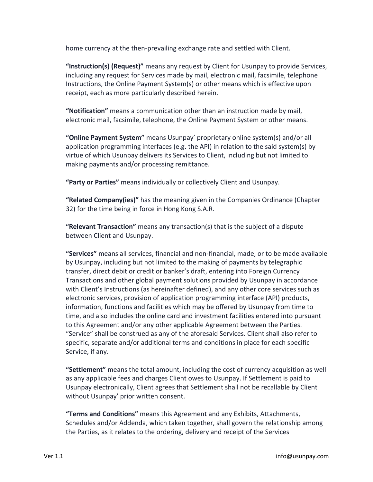home currency at the then-prevailing exchange rate and settled with Client.

**"Instruction(s) (Request)"** means any request by Client for Usunpay to provide Services, including any request for Services made by mail, electronic mail, facsimile, telephone Instructions, the Online Payment System(s) or other means which is effective upon receipt, each as more particularly described herein.

**"Notification"** means a communication other than an instruction made by mail, electronic mail, facsimile, telephone, the Online Payment System or other means.

**"Online Payment System"** means Usunpay' proprietary online system(s) and/or all application programming interfaces (e.g. the API) in relation to the said system(s) by virtue of which Usunpay delivers its Services to Client, including but not limited to making payments and/or processing remittance.

**"Party or Parties"** means individually or collectively Client and Usunpay.

**"Related Company(ies)"** has the meaning given in the Companies Ordinance (Chapter 32) for the time being in force in Hong Kong S.A.R.

**"Relevant Transaction"** means any transaction(s) that is the subject of a dispute between Client and Usunpay.

**"Services"** means all services, financial and non-financial, made, or to be made available by Usunpay, including but not limited to the making of payments by telegraphic transfer, direct debit or credit or banker's draft, entering into Foreign Currency Transactions and other global payment solutions provided by Usunpay in accordance with Client's Instructions (as hereinafter defined), and any other core services such as electronic services, provision of application programming interface (API) products, information, functions and facilities which may be offered by Usunpay from time to time, and also includes the online card and investment facilities entered into pursuant to this Agreement and/or any other applicable Agreement between the Parties. "Service" shall be construed as any of the aforesaid Services. Client shall also refer to specific, separate and/or additional terms and conditions in place for each specific Service, if any.

**"Settlement"** means the total amount, including the cost of currency acquisition as well as any applicable fees and charges Client owes to Usunpay. If Settlement is paid to Usunpay electronically, Client agrees that Settlement shall not be recallable by Client without Usunpay' prior written consent.

**"Terms and Conditions"** means this Agreement and any Exhibits, Attachments, Schedules and/or Addenda, which taken together, shall govern the relationship among the Parties, as it relates to the ordering, delivery and receipt of the Services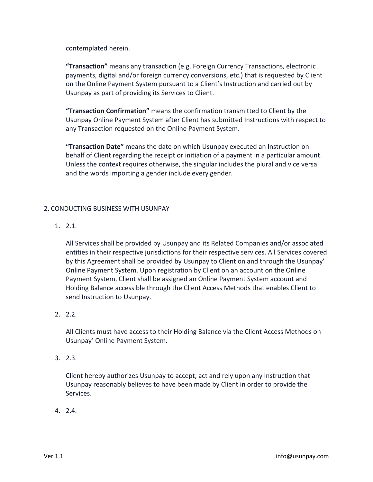contemplated herein.

**"Transaction"** means any transaction (e.g. Foreign Currency Transactions, electronic payments, digital and/or foreign currency conversions, etc.) that is requested by Client on the Online Payment System pursuant to a Client's Instruction and carried out by Usunpay as part of providing its Services to Client.

**"Transaction Confirmation"** means the confirmation transmitted to Client by the Usunpay Online Payment System after Client has submitted Instructions with respect to any Transaction requested on the Online Payment System.

**"Transaction Date"** means the date on which Usunpay executed an Instruction on behalf of Client regarding the receipt or initiation of a payment in a particular amount. Unless the context requires otherwise, the singular includes the plural and vice versa and the words importing a gender include every gender.

### 2. CONDUCTING BUSINESS WITH USUNPAY

1. 2.1.

All Services shall be provided by Usunpay and its Related Companies and/or associated entities in their respective jurisdictions for their respective services. All Services covered by this Agreement shall be provided by Usunpay to Client on and through the Usunpay' Online Payment System. Upon registration by Client on an account on the Online Payment System, Client shall be assigned an Online Payment System account and Holding Balance accessible through the Client Access Methods that enables Client to send Instruction to Usunpay.

2. 2.2.

All Clients must have access to their Holding Balance via the Client Access Methods on Usunpay' Online Payment System.

3. 2.3.

Client hereby authorizes Usunpay to accept, act and rely upon any Instruction that Usunpay reasonably believes to have been made by Client in order to provide the Services.

4. 2.4.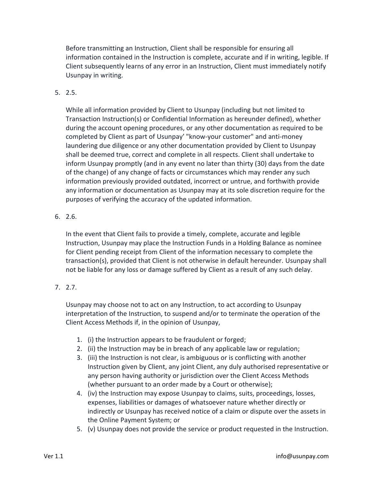Before transmitting an Instruction, Client shall be responsible for ensuring all information contained in the Instruction is complete, accurate and if in writing, legible. If Client subsequently learns of any error in an Instruction, Client must immediately notify Usunpay in writing.

5. 2.5.

While all information provided by Client to Usunpay (including but not limited to Transaction Instruction(s) or Confidential Information as hereunder defined), whether during the account opening procedures, or any other documentation as required to be completed by Client as part of Usunpay' "know-your customer" and anti-money laundering due diligence or any other documentation provided by Client to Usunpay shall be deemed true, correct and complete in all respects. Client shall undertake to inform Usunpay promptly (and in any event no later than thirty (30) days from the date of the change) of any change of facts or circumstances which may render any such information previously provided outdated, incorrect or untrue, and forthwith provide any information or documentation as Usunpay may at its sole discretion require for the purposes of verifying the accuracy of the updated information.

6. 2.6.

In the event that Client fails to provide a timely, complete, accurate and legible Instruction, Usunpay may place the Instruction Funds in a Holding Balance as nominee for Client pending receipt from Client of the information necessary to complete the transaction(s), provided that Client is not otherwise in default hereunder. Usunpay shall not be liable for any loss or damage suffered by Client as a result of any such delay.

# 7. 2.7.

Usunpay may choose not to act on any Instruction, to act according to Usunpay interpretation of the Instruction, to suspend and/or to terminate the operation of the Client Access Methods if, in the opinion of Usunpay,

- 1. (i) the Instruction appears to be fraudulent or forged;
- 2. (ii) the Instruction may be in breach of any applicable law or regulation;
- 3. (iii) the Instruction is not clear, is ambiguous or is conflicting with another Instruction given by Client, any joint Client, any duly authorised representative or any person having authority or jurisdiction over the Client Access Methods (whether pursuant to an order made by a Court or otherwise);
- 4. (iv) the Instruction may expose Usunpay to claims, suits, proceedings, losses, expenses, liabilities or damages of whatsoever nature whether directly or indirectly or Usunpay has received notice of a claim or dispute over the assets in the Online Payment System; or
- 5. (v) Usunpay does not provide the service or product requested in the Instruction.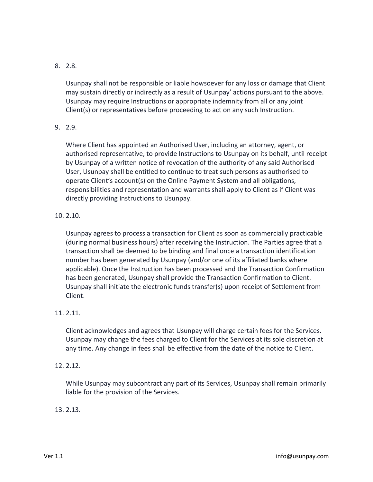# 8. 2.8.

Usunpay shall not be responsible or liable howsoever for any loss or damage that Client may sustain directly or indirectly as a result of Usunpay' actions pursuant to the above. Usunpay may require Instructions or appropriate indemnity from all or any joint Client(s) or representatives before proceeding to act on any such Instruction.

# 9. 2.9.

Where Client has appointed an Authorised User, including an attorney, agent, or authorised representative, to provide Instructions to Usunpay on its behalf, until receipt by Usunpay of a written notice of revocation of the authority of any said Authorised User, Usunpay shall be entitled to continue to treat such persons as authorised to operate Client's account(s) on the Online Payment System and all obligations, responsibilities and representation and warrants shall apply to Client as if Client was directly providing Instructions to Usunpay.

# 10. 2.10.

Usunpay agrees to process a transaction for Client as soon as commercially practicable (during normal business hours) after receiving the Instruction. The Parties agree that a transaction shall be deemed to be binding and final once a transaction identification number has been generated by Usunpay (and/or one of its affiliated banks where applicable). Once the Instruction has been processed and the Transaction Confirmation has been generated, Usunpay shall provide the Transaction Confirmation to Client. Usunpay shall initiate the electronic funds transfer(s) upon receipt of Settlement from Client.

# 11. 2.11.

Client acknowledges and agrees that Usunpay will charge certain fees for the Services. Usunpay may change the fees charged to Client for the Services at its sole discretion at any time. Any change in fees shall be effective from the date of the notice to Client.

# 12. 2.12.

While Usunpay may subcontract any part of its Services, Usunpay shall remain primarily liable for the provision of the Services.

# 13. 2.13.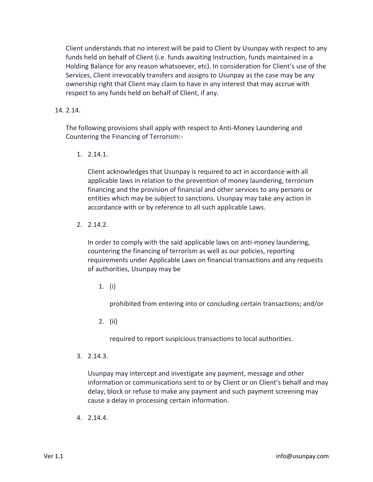Client understands that no interest will be paid to Client by Usunpay with respect to any funds held on behalf of Client (i.e. funds awaiting Instruction, funds maintained in a Holding Balance for any reason whatsoever, etc). In consideration for Client's use of the Services, Client irrevocably transfers and assigns to Usunpay as the case may be any ownership right that Client may claim to have in any interest that may accrue with respect to any funds held on behalf of Client, if any.

### 14. 2.14.

The following provisions shall apply with respect to Anti-Money Laundering and Countering the Financing of Terrorism:-

1. 2.14.1.

Client acknowledges that Usunpay is required to act in accordance with all applicable laws in relation to the prevention of money laundering, terrorism financing and the provision of financial and other services to any persons or entities which may be subject to sanctions. Usunpay may take any action in accordance with or by reference to all such applicable Laws.

2. 2.14.2.

In order to comply with the said applicable laws on anti-money laundering, countering the financing of terrorism as well as our policies, reporting requirements under Applicable Laws on financial transactions and any requests of authorities, Usunpay may be

1. (i)

prohibited from entering into or concluding certain transactions; and/or

2. (ii)

required to report suspicious transactions to local authorities.

3. 2.14.3.

Usunpay may intercept and investigate any payment, message and other information or communications sent to or by Client or on Client's behalf and may delay, block or refuse to make any payment and such payment screening may cause a delay in processing certain information.

4. 2.14.4.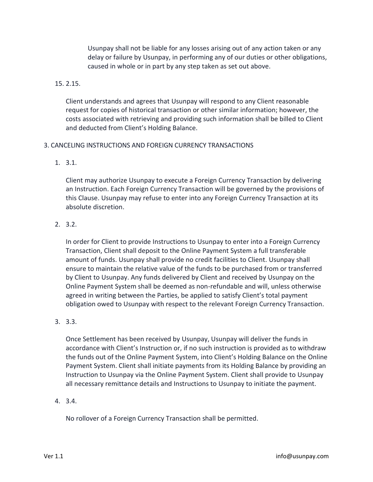Usunpay shall not be liable for any losses arising out of any action taken or any delay or failure by Usunpay, in performing any of our duties or other obligations, caused in whole or in part by any step taken as set out above.

### 15. 2.15.

Client understands and agrees that Usunpay will respond to any Client reasonable request for copies of historical transaction or other similar information; however, the costs associated with retrieving and providing such information shall be billed to Client and deducted from Client's Holding Balance.

### 3. CANCELING INSTRUCTIONS AND FOREIGN CURRENCY TRANSACTIONS

1. 3.1.

Client may authorize Usunpay to execute a Foreign Currency Transaction by delivering an Instruction. Each Foreign Currency Transaction will be governed by the provisions of this Clause. Usunpay may refuse to enter into any Foreign Currency Transaction at its absolute discretion.

2. 3.2.

In order for Client to provide Instructions to Usunpay to enter into a Foreign Currency Transaction, Client shall deposit to the Online Payment System a full transferable amount of funds. Usunpay shall provide no credit facilities to Client. Usunpay shall ensure to maintain the relative value of the funds to be purchased from or transferred by Client to Usunpay. Any funds delivered by Client and received by Usunpay on the Online Payment System shall be deemed as non-refundable and will, unless otherwise agreed in writing between the Parties, be applied to satisfy Client's total payment obligation owed to Usunpay with respect to the relevant Foreign Currency Transaction.

3. 3.3.

Once Settlement has been received by Usunpay, Usunpay will deliver the funds in accordance with Client's Instruction or, if no such instruction is provided as to withdraw the funds out of the Online Payment System, into Client's Holding Balance on the Online Payment System. Client shall initiate payments from its Holding Balance by providing an Instruction to Usunpay via the Online Payment System. Client shall provide to Usunpay all necessary remittance details and Instructions to Usunpay to initiate the payment.

4. 3.4.

No rollover of a Foreign Currency Transaction shall be permitted.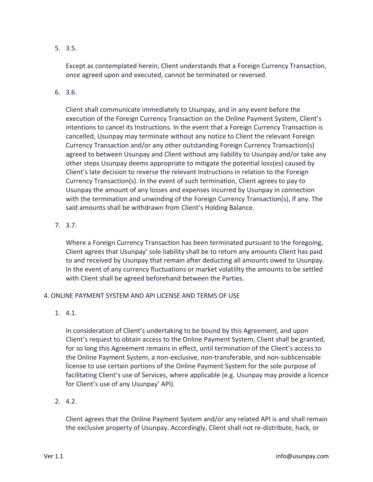5. 3.5.

Except as contemplated herein, Client understands that a Foreign Currency Transaction, once agreed upon and executed, cannot be terminated or reversed.

6. 3.6.

Client shall communicate immediately to Usunpay, and in any event before the execution of the Foreign Currency Transaction on the Online Payment System, Client's intentions to cancel its Instructions. In the event that a Foreign Currency Transaction is cancelled, Usunpay may terminate without any notice to Client the relevant Foreign Currency Transaction and/or any other outstanding Foreign Currency Transaction(s) agreed to between Usunpay and Client without any liability to Usunpay and/or take any other steps Usunpay deems appropriate to mitigate the potential loss(es) caused by Client's late decision to reverse the relevant Instructions in relation to the Foreign Currency Transaction(s). In the event of such termination, Client agrees to pay to Usunpay the amount of any losses and expenses incurred by Usunpay in connection with the termination and unwinding of the Foreign Currency Transaction(s), if any. The said amounts shall be withdrawn from Client's Holding Balance.

7. 3.7.

Where a Foreign Currency Transaction has been terminated pursuant to the foregoing, Client agrees that Usunpay' sole liability shall be to return any amounts Client has paid to and received by Usunpay that remain after deducting all amounts owed to Usunpay. In the event of any currency fluctuations or market volatility the amounts to be settled with Client shall be agreed beforehand between the Parties.

### 4. ONLINE PAYMENT SYSTEM AND API LICENSE AND TERMS OF USE

1. 4.1.

In consideration of Client's undertaking to be bound by this Agreement, and upon Client's request to obtain access to the Online Payment System, Client shall be granted, for so long this Agreement remains in effect, until termination of the Client's access to the Online Payment System, a non-exclusive, non-transferable, and non-sublicensable license to use certain portions of the Online Payment System for the sole purpose of facilitating Client's use of Services, where applicable (e.g. Usunpay may provide a licence for Client's use of any Usunpay' API).

2. 4.2.

Client agrees that the Online Payment System and/or any related API is and shall remain the exclusive property of Usunpay. Accordingly, Client shall not re-distribute, hack, or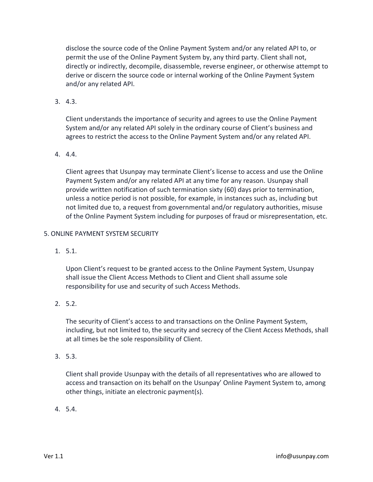disclose the source code of the Online Payment System and/or any related API to, or permit the use of the Online Payment System by, any third party. Client shall not, directly or indirectly, decompile, disassemble, reverse engineer, or otherwise attempt to derive or discern the source code or internal working of the Online Payment System and/or any related API.

3. 4.3.

Client understands the importance of security and agrees to use the Online Payment System and/or any related API solely in the ordinary course of Client's business and agrees to restrict the access to the Online Payment System and/or any related API.

### 4. 4.4.

Client agrees that Usunpay may terminate Client's license to access and use the Online Payment System and/or any related API at any time for any reason. Usunpay shall provide written notification of such termination sixty (60) days prior to termination, unless a notice period is not possible, for example, in instances such as, including but not limited due to, a request from governmental and/or regulatory authorities, misuse of the Online Payment System including for purposes of fraud or misrepresentation, etc.

### 5. ONLINE PAYMENT SYSTEM SECURITY

1. 5.1.

Upon Client's request to be granted access to the Online Payment System, Usunpay shall issue the Client Access Methods to Client and Client shall assume sole responsibility for use and security of such Access Methods.

2. 5.2.

The security of Client's access to and transactions on the Online Payment System, including, but not limited to, the security and secrecy of the Client Access Methods, shall at all times be the sole responsibility of Client.

3. 5.3.

Client shall provide Usunpay with the details of all representatives who are allowed to access and transaction on its behalf on the Usunpay' Online Payment System to, among other things, initiate an electronic payment(s).

4. 5.4.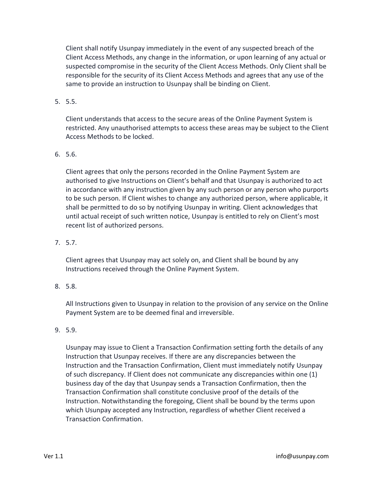Client shall notify Usunpay immediately in the event of any suspected breach of the Client Access Methods, any change in the information, or upon learning of any actual or suspected compromise in the security of the Client Access Methods. Only Client shall be responsible for the security of its Client Access Methods and agrees that any use of the same to provide an instruction to Usunpay shall be binding on Client.

# 5. 5.5.

Client understands that access to the secure areas of the Online Payment System is restricted. Any unauthorised attempts to access these areas may be subject to the Client Access Methods to be locked.

# 6. 5.6.

Client agrees that only the persons recorded in the Online Payment System are authorised to give Instructions on Client's behalf and that Usunpay is authorized to act in accordance with any instruction given by any such person or any person who purports to be such person. If Client wishes to change any authorized person, where applicable, it shall be permitted to do so by notifying Usunpay in writing. Client acknowledges that until actual receipt of such written notice, Usunpay is entitled to rely on Client's most recent list of authorized persons.

# 7. 5.7.

Client agrees that Usunpay may act solely on, and Client shall be bound by any Instructions received through the Online Payment System.

# 8. 5.8.

All Instructions given to Usunpay in relation to the provision of any service on the Online Payment System are to be deemed final and irreversible.

# 9. 5.9.

Usunpay may issue to Client a Transaction Confirmation setting forth the details of any Instruction that Usunpay receives. If there are any discrepancies between the Instruction and the Transaction Confirmation, Client must immediately notify Usunpay of such discrepancy. If Client does not communicate any discrepancies within one (1) business day of the day that Usunpay sends a Transaction Confirmation, then the Transaction Confirmation shall constitute conclusive proof of the details of the Instruction. Notwithstanding the foregoing, Client shall be bound by the terms upon which Usunpay accepted any Instruction, regardless of whether Client received a Transaction Confirmation.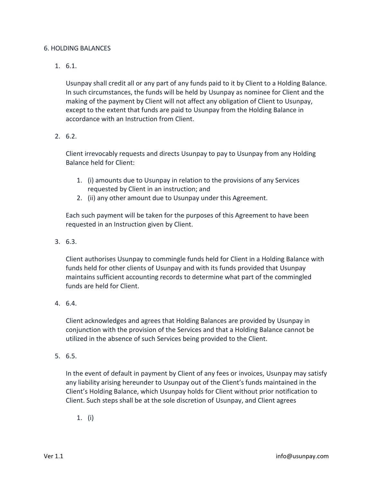### 6. HOLDING BALANCES

1. 6.1.

Usunpay shall credit all or any part of any funds paid to it by Client to a Holding Balance. In such circumstances, the funds will be held by Usunpay as nominee for Client and the making of the payment by Client will not affect any obligation of Client to Usunpay, except to the extent that funds are paid to Usunpay from the Holding Balance in accordance with an Instruction from Client.

2. 6.2.

Client irrevocably requests and directs Usunpay to pay to Usunpay from any Holding Balance held for Client:

- 1. (i) amounts due to Usunpay in relation to the provisions of any Services requested by Client in an instruction; and
- 2. (ii) any other amount due to Usunpay under this Agreement.

Each such payment will be taken for the purposes of this Agreement to have been requested in an Instruction given by Client.

3. 6.3.

Client authorises Usunpay to commingle funds held for Client in a Holding Balance with funds held for other clients of Usunpay and with its funds provided that Usunpay maintains sufficient accounting records to determine what part of the commingled funds are held for Client.

4. 6.4.

Client acknowledges and agrees that Holding Balances are provided by Usunpay in conjunction with the provision of the Services and that a Holding Balance cannot be utilized in the absence of such Services being provided to the Client.

5. 6.5.

In the event of default in payment by Client of any fees or invoices, Usunpay may satisfy any liability arising hereunder to Usunpay out of the Client's funds maintained in the Client's Holding Balance, which Usunpay holds for Client without prior notification to Client. Such steps shall be at the sole discretion of Usunpay, and Client agrees

1. (i)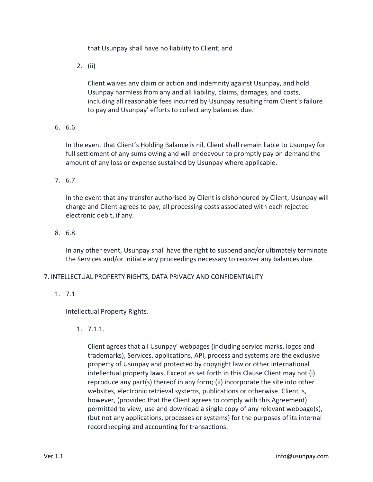that Usunpay shall have no liability to Client; and

2. (ii)

Client waives any claim or action and indemnity against Usunpay, and hold Usunpay harmless from any and all liability, claims, damages, and costs, including all reasonable fees incurred by Usunpay resulting from Client's failure to pay and Usunpay' efforts to collect any balances due.

6. 6.6.

In the event that Client's Holding Balance is nil, Client shall remain liable to Usunpay for full settlement of any sums owing and will endeavour to promptly pay on demand the amount of any loss or expense sustained by Usunpay where applicable.

7. 6.7.

In the event that any transfer authorised by Client is dishonoured by Client, Usunpay will charge and Client agrees to pay, all processing costs associated with each rejected electronic debit, if any.

8. 6.8.

In any other event, Usunpay shall have the right to suspend and/or ultimately terminate the Services and/or initiate any proceedings necessary to recover any balances due.

### 7. INTELLECTUAL PROPERTY RIGHTS, DATA PRIVACY AND CONFIDENTIALITY

1. 7.1.

Intellectual Property Rights.

1. 7.1.1.

Client agrees that all Usunpay' webpages (including service marks, logos and trademarks), Services, applications, API, process and systems are the exclusive property of Usunpay and protected by copyright law or other international intellectual property laws. Except as set forth in this Clause Client may not (i) reproduce any part(s) thereof in any form; (ii) incorporate the site into other websites, electronic retrieval systems, publications or otherwise. Client is, however, (provided that the Client agrees to comply with this Agreement) permitted to view, use and download a single copy of any relevant webpage(s), (but not any applications, processes or systems) for the purposes of its internal recordkeeping and accounting for transactions.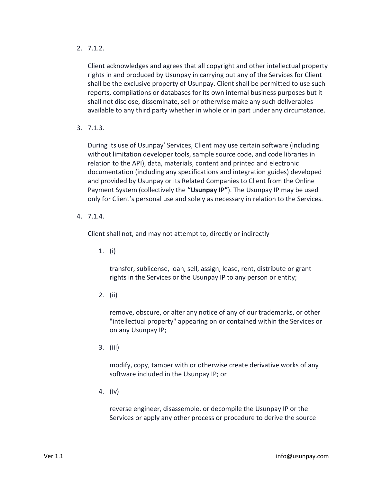2. 7.1.2.

Client acknowledges and agrees that all copyright and other intellectual property rights in and produced by Usunpay in carrying out any of the Services for Client shall be the exclusive property of Usunpay. Client shall be permitted to use such reports, compilations or databases for its own internal business purposes but it shall not disclose, disseminate, sell or otherwise make any such deliverables available to any third party whether in whole or in part under any circumstance.

3. 7.1.3.

During its use of Usunpay' Services, Client may use certain software (including without limitation developer tools, sample source code, and code libraries in relation to the API), data, materials, content and printed and electronic documentation (including any specifications and integration guides) developed and provided by Usunpay or its Related Companies to Client from the Online Payment System (collectively the **"Usunpay IP"**). The Usunpay IP may be used only for Client's personal use and solely as necessary in relation to the Services.

4. 7.1.4.

Client shall not, and may not attempt to, directly or indirectly

1. (i)

transfer, sublicense, loan, sell, assign, lease, rent, distribute or grant rights in the Services or the Usunpay IP to any person or entity;

2. (ii)

remove, obscure, or alter any notice of any of our trademarks, or other "intellectual property" appearing on or contained within the Services or on any Usunpay IP;

3. (iii)

modify, copy, tamper with or otherwise create derivative works of any software included in the Usunpay IP; or

4. (iv)

reverse engineer, disassemble, or decompile the Usunpay IP or the Services or apply any other process or procedure to derive the source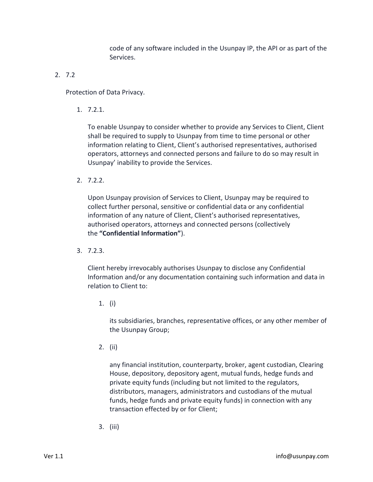code of any software included in the Usunpay IP, the API or as part of the Services.

# 2. 7.2

Protection of Data Privacy.

1. 7.2.1.

To enable Usunpay to consider whether to provide any Services to Client, Client shall be required to supply to Usunpay from time to time personal or other information relating to Client, Client's authorised representatives, authorised operators, attorneys and connected persons and failure to do so may result in Usunpay' inability to provide the Services.

2. 7.2.2.

Upon Usunpay provision of Services to Client, Usunpay may be required to collect further personal, sensitive or confidential data or any confidential information of any nature of Client, Client's authorised representatives, authorised operators, attorneys and connected persons (collectively the **"Confidential Information"**).

3. 7.2.3.

Client hereby irrevocably authorises Usunpay to disclose any Confidential Information and/or any documentation containing such information and data in relation to Client to:

1. (i)

its subsidiaries, branches, representative offices, or any other member of the Usunpay Group;

2. (ii)

any financial institution, counterparty, broker, agent custodian, Clearing House, depository, depository agent, mutual funds, hedge funds and private equity funds (including but not limited to the regulators, distributors, managers, administrators and custodians of the mutual funds, hedge funds and private equity funds) in connection with any transaction effected by or for Client;

3. (iii)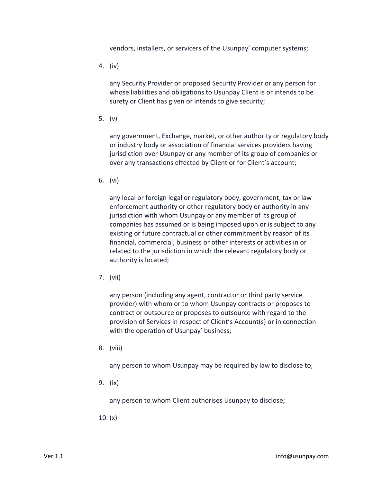vendors, installers, or servicers of the Usunpay' computer systems;

4. (iv)

any Security Provider or proposed Security Provider or any person for whose liabilities and obligations to Usunpay Client is or intends to be surety or Client has given or intends to give security;

5. (v)

any government, Exchange, market, or other authority or regulatory body or industry body or association of financial services providers having jurisdiction over Usunpay or any member of its group of companies or over any transactions effected by Client or for Client's account;

6. (vi)

any local or foreign legal or regulatory body, government, tax or law enforcement authority or other regulatory body or authority in any jurisdiction with whom Usunpay or any member of its group of companies has assumed or is being imposed upon or is subject to any existing or future contractual or other commitment by reason of its financial, commercial, business or other interests or activities in or related to the jurisdiction in which the relevant regulatory body or authority is located;

7. (vii)

any person (including any agent, contractor or third party service provider) with whom or to whom Usunpay contracts or proposes to contract or outsource or proposes to outsource with regard to the provision of Services in respect of Client's Account(s) or in connection with the operation of Usunpay' business;

8. (viii)

any person to whom Usunpay may be required by law to disclose to;

9. (ix)

any person to whom Client authorises Usunpay to disclose;

10. (x)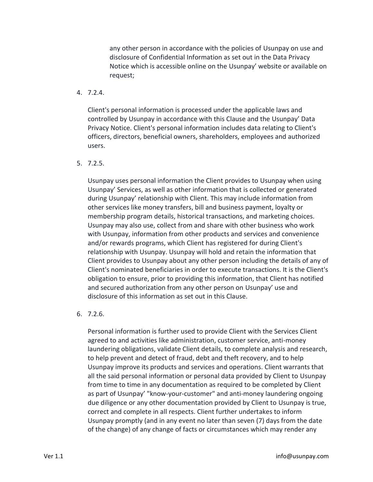any other person in accordance with the policies of Usunpay on use and disclosure of Confidential Information as set out in the Data Privacy Notice which is accessible online on the Usunpay' website or available on request;

### 4. 7.2.4.

Client's personal information is processed under the applicable laws and controlled by Usunpay in accordance with this Clause and the Usunpay' Data Privacy Notice. Client's personal information includes data relating to Client's officers, directors, beneficial owners, shareholders, employees and authorized users.

### 5. 7.2.5.

Usunpay uses personal information the Client provides to Usunpay when using Usunpay' Services, as well as other information that is collected or generated during Usunpay' relationship with Client. This may include information from other services like money transfers, bill and business payment, loyalty or membership program details, historical transactions, and marketing choices. Usunpay may also use, collect from and share with other business who work with Usunpay, information from other products and services and convenience and/or rewards programs, which Client has registered for during Client's relationship with Usunpay. Usunpay will hold and retain the information that Client provides to Usunpay about any other person including the details of any of Client's nominated beneficiaries in order to execute transactions. It is the Client's obligation to ensure, prior to providing this information, that Client has notified and secured authorization from any other person on Usunpay' use and disclosure of this information as set out in this Clause.

### 6. 7.2.6.

Personal information is further used to provide Client with the Services Client agreed to and activities like administration, customer service, anti-money laundering obligations, validate Client details, to complete analysis and research, to help prevent and detect of fraud, debt and theft recovery, and to help Usunpay improve its products and services and operations. Client warrants that all the said personal information or personal data provided by Client to Usunpay from time to time in any documentation as required to be completed by Client as part of Usunpay' "know-your-customer" and anti-money laundering ongoing due diligence or any other documentation provided by Client to Usunpay is true, correct and complete in all respects. Client further undertakes to inform Usunpay promptly (and in any event no later than seven (7) days from the date of the change) of any change of facts or circumstances which may render any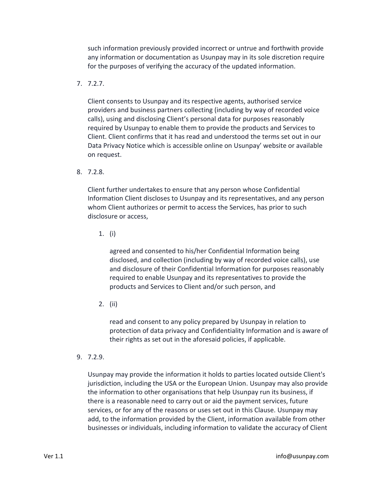such information previously provided incorrect or untrue and forthwith provide any information or documentation as Usunpay may in its sole discretion require for the purposes of verifying the accuracy of the updated information.

7. 7.2.7.

Client consents to Usunpay and its respective agents, authorised service providers and business partners collecting (including by way of recorded voice calls), using and disclosing Client's personal data for purposes reasonably required by Usunpay to enable them to provide the products and Services to Client. Client confirms that it has read and understood the terms set out in our Data Privacy Notice which is accessible online on Usunpay' website or available on request.

8. 7.2.8.

Client further undertakes to ensure that any person whose Confidential Information Client discloses to Usunpay and its representatives, and any person whom Client authorizes or permit to access the Services, has prior to such disclosure or access,

1. (i)

agreed and consented to his/her Confidential Information being disclosed, and collection (including by way of recorded voice calls), use and disclosure of their Confidential Information for purposes reasonably required to enable Usunpay and its representatives to provide the products and Services to Client and/or such person, and

2. (ii)

read and consent to any policy prepared by Usunpay in relation to protection of data privacy and Confidentiality Information and is aware of their rights as set out in the aforesaid policies, if applicable.

9. 7.2.9.

Usunpay may provide the information it holds to parties located outside Client's jurisdiction, including the USA or the European Union. Usunpay may also provide the information to other organisations that help Usunpay run its business, if there is a reasonable need to carry out or aid the payment services, future services, or for any of the reasons or uses set out in this Clause. Usunpay may add, to the information provided by the Client, information available from other businesses or individuals, including information to validate the accuracy of Client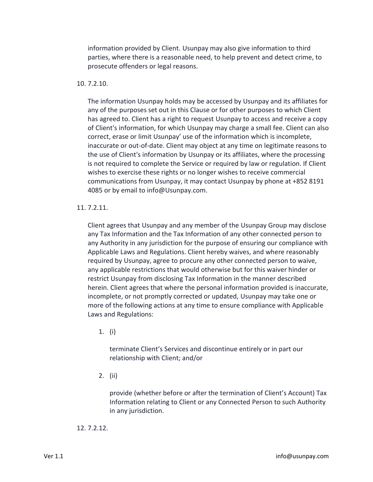information provided by Client. Usunpay may also give information to third parties, where there is a reasonable need, to help prevent and detect crime, to prosecute offenders or legal reasons.

### 10. 7.2.10.

The information Usunpay holds may be accessed by Usunpay and its affiliates for any of the purposes set out in this Clause or for other purposes to which Client has agreed to. Client has a right to request Usunpay to access and receive a copy of Client's information, for which Usunpay may charge a small fee. Client can also correct, erase or limit Usunpay' use of the information which is incomplete, inaccurate or out-of-date. Client may object at any time on legitimate reasons to the use of Client's information by Usunpay or its affiliates, where the processing is not required to complete the Service or required by law or regulation. If Client wishes to exercise these rights or no longer wishes to receive commercial communications from Usunpay, it may contact Usunpay by phone at +852 8191 4085 or by email to info@Usunpay.com.

#### 11. 7.2.11.

Client agrees that Usunpay and any member of the Usunpay Group may disclose any Tax Information and the Tax Information of any other connected person to any Authority in any jurisdiction for the purpose of ensuring our compliance with Applicable Laws and Regulations. Client hereby waives, and where reasonably required by Usunpay, agree to procure any other connected person to waive, any applicable restrictions that would otherwise but for this waiver hinder or restrict Usunpay from disclosing Tax Information in the manner described herein. Client agrees that where the personal information provided is inaccurate, incomplete, or not promptly corrected or updated, Usunpay may take one or more of the following actions at any time to ensure compliance with Applicable Laws and Regulations:

1. (i)

terminate Client's Services and discontinue entirely or in part our relationship with Client; and/or

2. (ii)

provide (whether before or after the termination of Client's Account) Tax Information relating to Client or any Connected Person to such Authority in any jurisdiction.

#### 12. 7.2.12.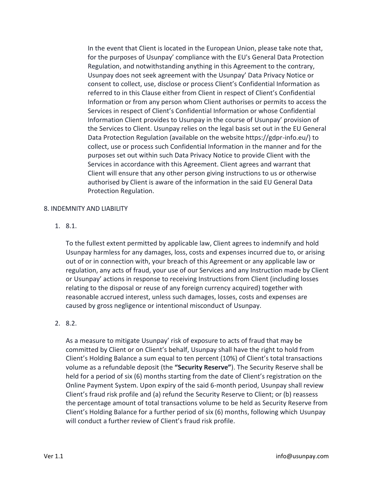In the event that Client is located in the European Union, please take note that, for the purposes of Usunpay' compliance with the EU's General Data Protection Regulation, and notwithstanding anything in this Agreement to the contrary, Usunpay does not seek agreement with the Usunpay' Data Privacy Notice or consent to collect, use, disclose or process Client's Confidential Information as referred to in this Clause either from Client in respect of Client's Confidential Information or from any person whom Client authorises or permits to access the Services in respect of Client's Confidential Information or whose Confidential Information Client provides to Usunpay in the course of Usunpay' provision of the Services to Client. Usunpay relies on the legal basis set out in the EU General Data Protection Regulation (available on the website https://gdpr-info.eu/) to collect, use or process such Confidential Information in the manner and for the purposes set out within such Data Privacy Notice to provide Client with the Services in accordance with this Agreement. Client agrees and warrant that Client will ensure that any other person giving instructions to us or otherwise authorised by Client is aware of the information in the said EU General Data Protection Regulation.

### 8. INDEMNITY AND LIABILITY

1. 8.1.

To the fullest extent permitted by applicable law, Client agrees to indemnify and hold Usunpay harmless for any damages, loss, costs and expenses incurred due to, or arising out of or in connection with, your breach of this Agreement or any applicable law or regulation, any acts of fraud, your use of our Services and any Instruction made by Client or Usunpay' actions in response to receiving Instructions from Client (including losses relating to the disposal or reuse of any foreign currency acquired) together with reasonable accrued interest, unless such damages, losses, costs and expenses are caused by gross negligence or intentional misconduct of Usunpay.

# 2. 8.2.

As a measure to mitigate Usunpay' risk of exposure to acts of fraud that may be committed by Client or on Client's behalf, Usunpay shall have the right to hold from Client's Holding Balance a sum equal to ten percent (10%) of Client's total transactions volume as a refundable deposit (the **"Security Reserve"**). The Security Reserve shall be held for a period of six (6) months starting from the date of Client's registration on the Online Payment System. Upon expiry of the said 6-month period, Usunpay shall review Client's fraud risk profile and (a) refund the Security Reserve to Client; or (b) reassess the percentage amount of total transactions volume to be held as Security Reserve from Client's Holding Balance for a further period of six (6) months, following which Usunpay will conduct a further review of Client's fraud risk profile.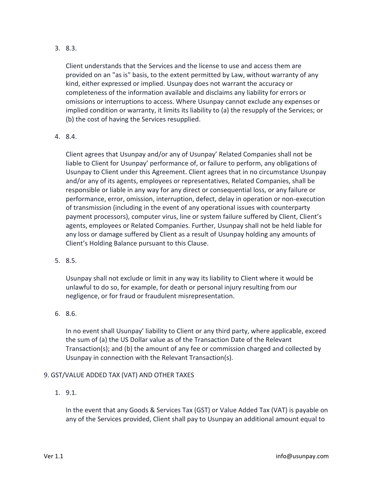3. 8.3.

Client understands that the Services and the license to use and access them are provided on an "as is" basis, to the extent permitted by Law, without warranty of any kind, either expressed or implied. Usunpay does not warrant the accuracy or completeness of the information available and disclaims any liability for errors or omissions or interruptions to access. Where Usunpay cannot exclude any expenses or implied condition or warranty, it limits its liability to (a) the resupply of the Services; or (b) the cost of having the Services resupplied.

4. 8.4.

Client agrees that Usunpay and/or any of Usunpay' Related Companies shall not be liable to Client for Usunpay' performance of, or failure to perform, any obligations of Usunpay to Client under this Agreement. Client agrees that in no circumstance Usunpay and/or any of its agents, employees or representatives, Related Companies, shall be responsible or liable in any way for any direct or consequential loss, or any failure or performance, error, omission, interruption, defect, delay in operation or non-execution of transmission (including in the event of any operational issues with counterparty payment processors), computer virus, line or system failure suffered by Client, Client's agents, employees or Related Companies. Further, Usunpay shall not be held liable for any loss or damage suffered by Client as a result of Usunpay holding any amounts of Client's Holding Balance pursuant to this Clause.

5. 8.5.

Usunpay shall not exclude or limit in any way its liability to Client where it would be unlawful to do so, for example, for death or personal injury resulting from our negligence, or for fraud or fraudulent misrepresentation.

6. 8.6.

In no event shall Usunpay' liability to Client or any third party, where applicable, exceed the sum of (a) the US Dollar value as of the Transaction Date of the Relevant Transaction(s); and (b) the amount of any fee or commission charged and collected by Usunpay in connection with the Relevant Transaction(s).

# 9. GST/VALUE ADDED TAX (VAT) AND OTHER TAXES

1. 9.1.

In the event that any Goods & Services Tax (GST) or Value Added Tax (VAT) is payable on any of the Services provided, Client shall pay to Usunpay an additional amount equal to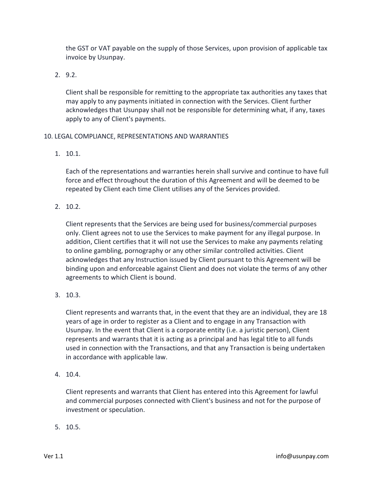the GST or VAT payable on the supply of those Services, upon provision of applicable tax invoice by Usunpay.

2. 9.2.

Client shall be responsible for remitting to the appropriate tax authorities any taxes that may apply to any payments initiated in connection with the Services. Client further acknowledges that Usunpay shall not be responsible for determining what, if any, taxes apply to any of Client's payments.

# 10. LEGAL COMPLIANCE, REPRESENTATIONS AND WARRANTIES

1. 10.1.

Each of the representations and warranties herein shall survive and continue to have full force and effect throughout the duration of this Agreement and will be deemed to be repeated by Client each time Client utilises any of the Services provided.

2. 10.2.

Client represents that the Services are being used for business/commercial purposes only. Client agrees not to use the Services to make payment for any illegal purpose. In addition, Client certifies that it will not use the Services to make any payments relating to online gambling, pornography or any other similar controlled activities. Client acknowledges that any Instruction issued by Client pursuant to this Agreement will be binding upon and enforceable against Client and does not violate the terms of any other agreements to which Client is bound.

3. 10.3.

Client represents and warrants that, in the event that they are an individual, they are 18 years of age in order to register as a Client and to engage in any Transaction with Usunpay. In the event that Client is a corporate entity (i.e. a juristic person), Client represents and warrants that it is acting as a principal and has legal title to all funds used in connection with the Transactions, and that any Transaction is being undertaken in accordance with applicable law.

4. 10.4.

Client represents and warrants that Client has entered into this Agreement for lawful and commercial purposes connected with Client's business and not for the purpose of investment or speculation.

5. 10.5.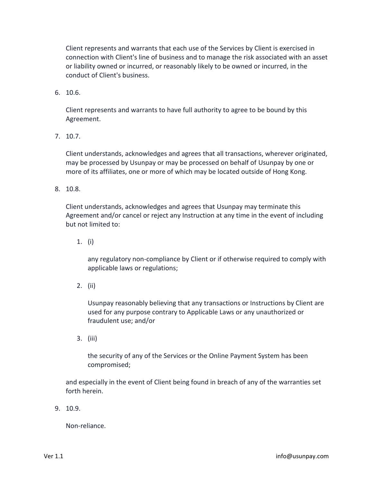Client represents and warrants that each use of the Services by Client is exercised in connection with Client's line of business and to manage the risk associated with an asset or liability owned or incurred, or reasonably likely to be owned or incurred, in the conduct of Client's business.

6. 10.6.

Client represents and warrants to have full authority to agree to be bound by this Agreement.

7. 10.7.

Client understands, acknowledges and agrees that all transactions, wherever originated, may be processed by Usunpay or may be processed on behalf of Usunpay by one or more of its affiliates, one or more of which may be located outside of Hong Kong.

8. 10.8.

Client understands, acknowledges and agrees that Usunpay may terminate this Agreement and/or cancel or reject any Instruction at any time in the event of including but not limited to:

1. (i)

any regulatory non-compliance by Client or if otherwise required to comply with applicable laws or regulations;

2. (ii)

Usunpay reasonably believing that any transactions or Instructions by Client are used for any purpose contrary to Applicable Laws or any unauthorized or fraudulent use; and/or

3. (iii)

the security of any of the Services or the Online Payment System has been compromised;

and especially in the event of Client being found in breach of any of the warranties set forth herein.

9. 10.9.

Non-reliance.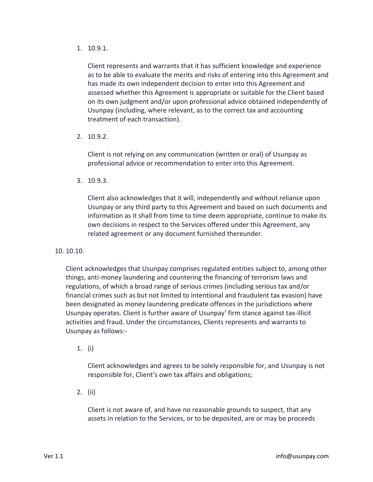1. 10.9.1.

Client represents and warrants that it has sufficient knowledge and experience as to be able to evaluate the merits and risks of entering into this Agreement and has made its own independent decision to enter into this Agreement and assessed whether this Agreement is appropriate or suitable for the Client based on its own judgment and/or upon professional advice obtained independently of Usunpay (including, where relevant, as to the correct tax and accounting treatment of each transaction).

2. 10.9.2.

Client is not relying on any communication (written or oral) of Usunpay as professional advice or recommendation to enter into this Agreement.

3. 10.9.3.

Client also acknowledges that it will, independently and without reliance upon Usunpay or any third party to this Agreement and based on such documents and information as it shall from time to time deem appropriate, continue to make its own decisions in respect to the Services offered under this Agreement, any related agreement or any document furnished thereunder.

10. 10.10.

Client acknowledges that Usunpay comprises regulated entities subject to, among other things, anti-money laundering and countering the financing of terrorism laws and regulations, of which a broad range of serious crimes (including serious tax and/or financial crimes such as but not limited to intentional and fraudulent tax evasion) have been designated as money laundering predicate offences in the jurisdictions where Usunpay operates. Client is further aware of Usunpay' firm stance against tax-illicit activities and fraud. Under the circumstances, Clients represents and warrants to Usunpay as follows:-

1. (i)

Client acknowledges and agrees to be solely responsible for, and Usunpay is not responsible for, Client's own tax affairs and obligations;

2. (ii)

Client is not aware of, and have no reasonable grounds to suspect, that any assets in relation to the Services, or to be deposited, are or may be proceeds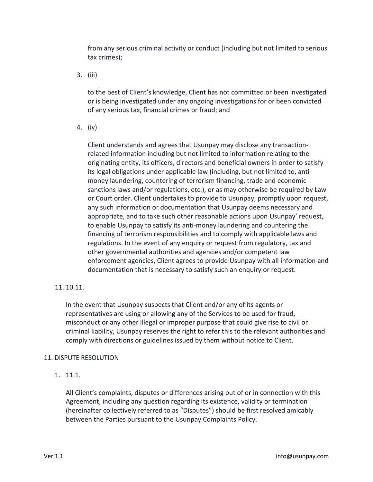from any serious criminal activity or conduct (including but not limited to serious tax crimes);

3. (iii)

to the best of Client's knowledge, Client has not committed or been investigated or is being investigated under any ongoing investigations for or been convicted of any serious tax, financial crimes or fraud; and

4. (iv)

Client understands and agrees that Usunpay may disclose any transactionrelated information including but not limited to information relating to the originating entity, its officers, directors and beneficial owners in order to satisfy its legal obligations under applicable law (including, but not limited to, antimoney laundering, countering of terrorism financing, trade and economic sanctions laws and/or regulations, etc.), or as may otherwise be required by Law or Court order. Client undertakes to provide to Usunpay, promptly upon request, any such information or documentation that Usunpay deems necessary and appropriate, and to take such other reasonable actions upon Usunpay' request, to enable Usunpay to satisfy its anti-money laundering and countering the financing of terrorism responsibilities and to comply with applicable laws and regulations. In the event of any enquiry or request from regulatory, tax and other governmental authorities and agencies and/or competent law enforcement agencies, Client agrees to provide Usunpay with all information and documentation that is necessary to satisfy such an enquiry or request.

# 11. 10.11.

In the event that Usunpay suspects that Client and/or any of its agents or representatives are using or allowing any of the Services to be used for fraud, misconduct or any other illegal or improper purpose that could give rise to civil or criminal liability, Usunpay reserves the right to refer this to the relevant authorities and comply with directions or guidelines issued by them without notice to Client.

# 11. DISPUTE RESOLUTION

1. 11.1.

All Client's complaints, disputes or differences arising out of or in connection with this Agreement, including any question regarding its existence, validity or termination (hereinafter collectively referred to as "Disputes") should be first resolved amicably between the Parties pursuant to the Usunpay Complaints Policy.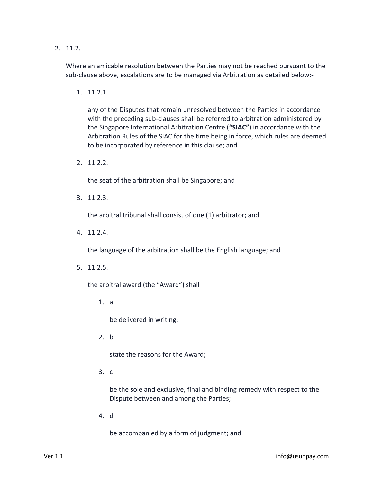2. 11.2.

Where an amicable resolution between the Parties may not be reached pursuant to the sub-clause above, escalations are to be managed via Arbitration as detailed below:-

1. 11.2.1.

any of the Disputes that remain unresolved between the Parties in accordance with the preceding sub-clauses shall be referred to arbitration administered by the Singapore International Arbitration Centre (**"SIAC"**) in accordance with the Arbitration Rules of the SIAC for the time being in force, which rules are deemed to be incorporated by reference in this clause; and

2. 11.2.2.

the seat of the arbitration shall be Singapore; and

3. 11.2.3.

the arbitral tribunal shall consist of one (1) arbitrator; and

4. 11.2.4.

the language of the arbitration shall be the English language; and

5. 11.2.5.

the arbitral award (the "Award") shall

1. a

be delivered in writing;

2. b

state the reasons for the Award;

3. c

be the sole and exclusive, final and binding remedy with respect to the Dispute between and among the Parties;

4. d

be accompanied by a form of judgment; and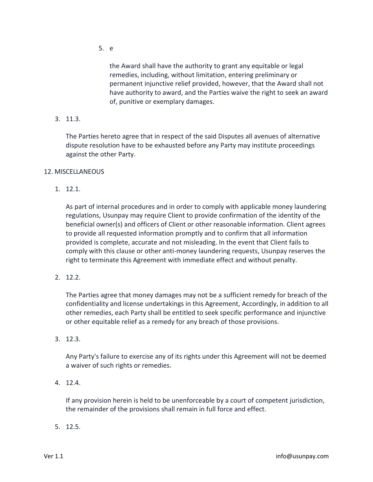5. e

the Award shall have the authority to grant any equitable or legal remedies, including, without limitation, entering preliminary or permanent injunctive relief provided, however, that the Award shall not have authority to award, and the Parties waive the right to seek an award of, punitive or exemplary damages.

3. 11.3.

The Parties hereto agree that in respect of the said Disputes all avenues of alternative dispute resolution have to be exhausted before any Party may institute proceedings against the other Party.

### 12. MISCELLANEOUS

1. 12.1.

As part of internal procedures and in order to comply with applicable money laundering regulations, Usunpay may require Client to provide confirmation of the identity of the beneficial owner(s) and officers of Client or other reasonable information. Client agrees to provide all requested information promptly and to confirm that all information provided is complete, accurate and not misleading. In the event that Client fails to comply with this clause or other anti-money laundering requests, Usunpay reserves the right to terminate this Agreement with immediate effect and without penalty.

2. 12.2.

The Parties agree that money damages may not be a sufficient remedy for breach of the confidentiality and license undertakings in this Agreement, Accordingly, in addition to all other remedies, each Party shall be entitled to seek specific performance and injunctive or other equitable relief as a remedy for any breach of those provisions.

3. 12.3.

Any Party's failure to exercise any of its rights under this Agreement will not be deemed a waiver of such rights or remedies.

4. 12.4.

If any provision herein is held to be unenforceable by a court of competent jurisdiction, the remainder of the provisions shall remain in full force and effect.

5. 12.5.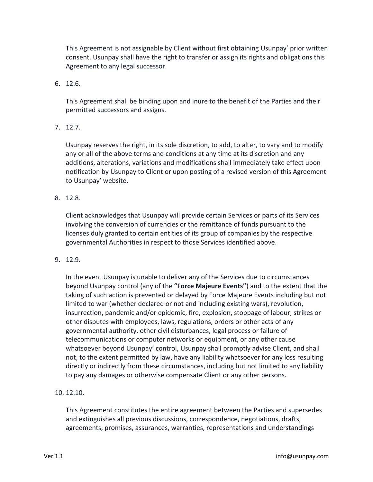This Agreement is not assignable by Client without first obtaining Usunpay' prior written consent. Usunpay shall have the right to transfer or assign its rights and obligations this Agreement to any legal successor.

6. 12.6.

This Agreement shall be binding upon and inure to the benefit of the Parties and their permitted successors and assigns.

7. 12.7.

Usunpay reserves the right, in its sole discretion, to add, to alter, to vary and to modify any or all of the above terms and conditions at any time at its discretion and any additions, alterations, variations and modifications shall immediately take effect upon notification by Usunpay to Client or upon posting of a revised version of this Agreement to Usunpay' website.

8. 12.8.

Client acknowledges that Usunpay will provide certain Services or parts of its Services involving the conversion of currencies or the remittance of funds pursuant to the licenses duly granted to certain entities of its group of companies by the respective governmental Authorities in respect to those Services identified above.

9. 12.9.

In the event Usunpay is unable to deliver any of the Services due to circumstances beyond Usunpay control (any of the **"Force Majeure Events"**) and to the extent that the taking of such action is prevented or delayed by Force Majeure Events including but not limited to war (whether declared or not and including existing wars), revolution, insurrection, pandemic and/or epidemic, fire, explosion, stoppage of labour, strikes or other disputes with employees, laws, regulations, orders or other acts of any governmental authority, other civil disturbances, legal process or failure of telecommunications or computer networks or equipment, or any other cause whatsoever beyond Usunpay' control, Usunpay shall promptly advise Client, and shall not, to the extent permitted by law, have any liability whatsoever for any loss resulting directly or indirectly from these circumstances, including but not limited to any liability to pay any damages or otherwise compensate Client or any other persons.

10. 12.10.

This Agreement constitutes the entire agreement between the Parties and supersedes and extinguishes all previous discussions, correspondence, negotiations, drafts, agreements, promises, assurances, warranties, representations and understandings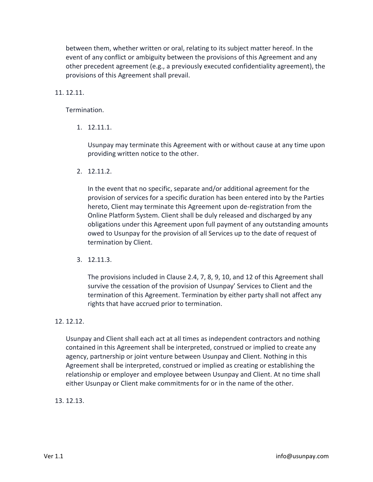between them, whether written or oral, relating to its subject matter hereof. In the event of any conflict or ambiguity between the provisions of this Agreement and any other precedent agreement (e.g., a previously executed confidentiality agreement), the provisions of this Agreement shall prevail.

### 11. 12.11.

Termination.

1. 12.11.1.

Usunpay may terminate this Agreement with or without cause at any time upon providing written notice to the other.

2. 12.11.2.

In the event that no specific, separate and/or additional agreement for the provision of services for a specific duration has been entered into by the Parties hereto, Client may terminate this Agreement upon de-registration from the Online Platform System. Client shall be duly released and discharged by any obligations under this Agreement upon full payment of any outstanding amounts owed to Usunpay for the provision of all Services up to the date of request of termination by Client.

3. 12.11.3.

The provisions included in Clause 2.4, 7, 8, 9, 10, and 12 of this Agreement shall survive the cessation of the provision of Usunpay' Services to Client and the termination of this Agreement. Termination by either party shall not affect any rights that have accrued prior to termination.

### 12. 12.12.

Usunpay and Client shall each act at all times as independent contractors and nothing contained in this Agreement shall be interpreted, construed or implied to create any agency, partnership or joint venture between Usunpay and Client. Nothing in this Agreement shall be interpreted, construed or implied as creating or establishing the relationship or employer and employee between Usunpay and Client. At no time shall either Usunpay or Client make commitments for or in the name of the other.

### 13. 12.13.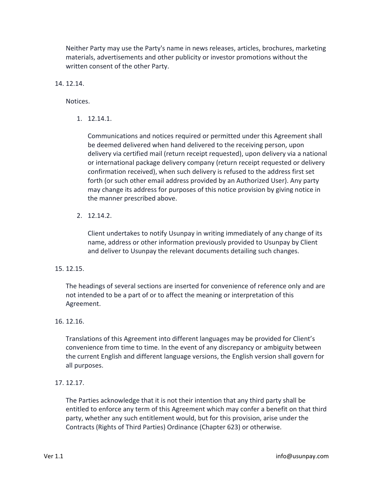Neither Party may use the Party's name in news releases, articles, brochures, marketing materials, advertisements and other publicity or investor promotions without the written consent of the other Party.

14. 12.14.

Notices.

1. 12.14.1.

Communications and notices required or permitted under this Agreement shall be deemed delivered when hand delivered to the receiving person, upon delivery via certified mail (return receipt requested), upon delivery via a national or international package delivery company (return receipt requested or delivery confirmation received), when such delivery is refused to the address first set forth (or such other email address provided by an Authorized User). Any party may change its address for purposes of this notice provision by giving notice in the manner prescribed above.

2. 12.14.2.

Client undertakes to notify Usunpay in writing immediately of any change of its name, address or other information previously provided to Usunpay by Client and deliver to Usunpay the relevant documents detailing such changes.

### 15. 12.15.

The headings of several sections are inserted for convenience of reference only and are not intended to be a part of or to affect the meaning or interpretation of this Agreement.

### 16. 12.16.

Translations of this Agreement into different languages may be provided for Client's convenience from time to time. In the event of any discrepancy or ambiguity between the current English and different language versions, the English version shall govern for all purposes.

### 17. 12.17.

The Parties acknowledge that it is not their intention that any third party shall be entitled to enforce any term of this Agreement which may confer a benefit on that third party, whether any such entitlement would, but for this provision, arise under the Contracts (Rights of Third Parties) Ordinance (Chapter 623) or otherwise.